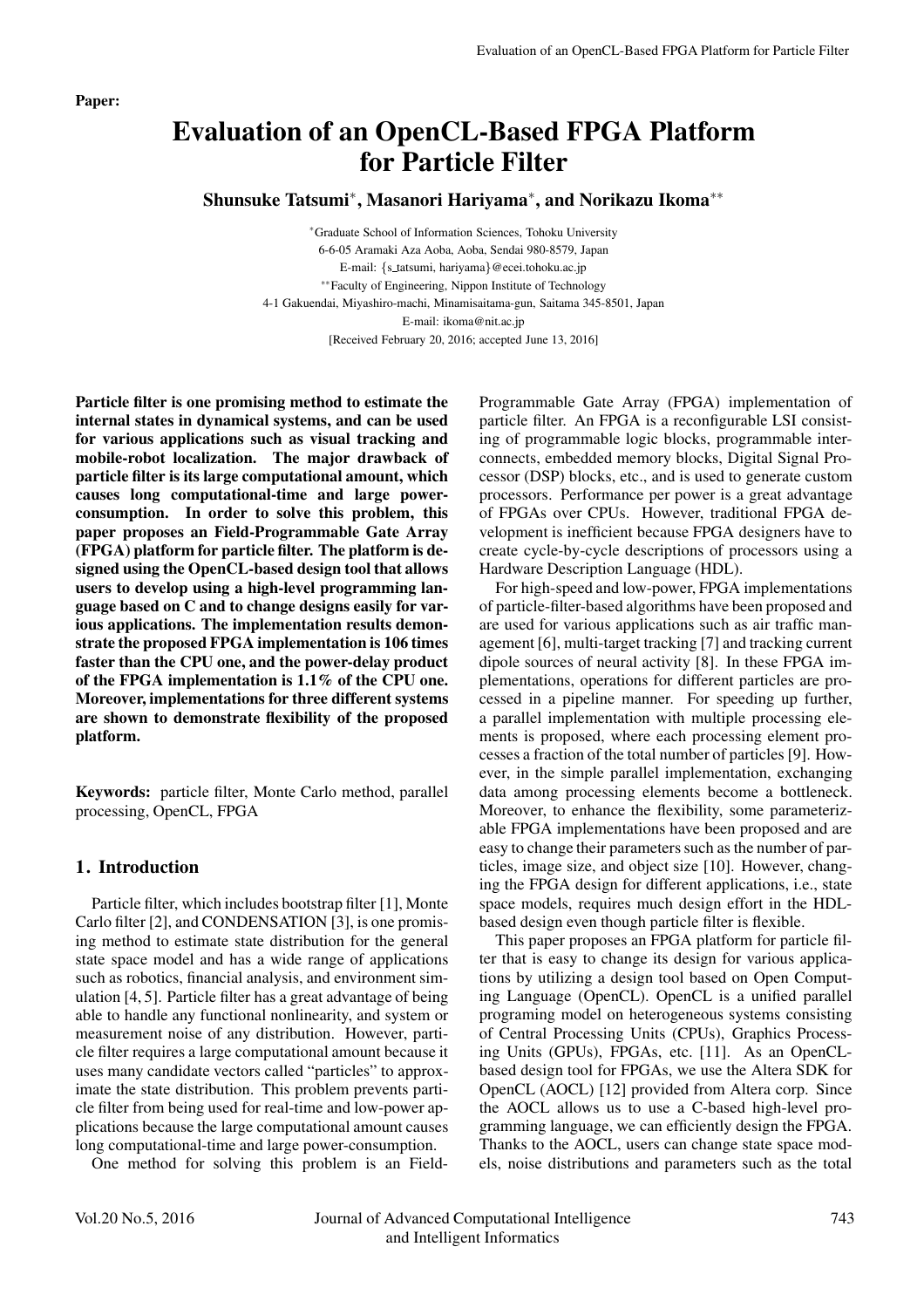# Evaluation of an OpenCL-Based FPGA Platform for Particle Filter

Shunsuke Tatsumi∗, Masanori Hariyama∗, and Norikazu Ikoma∗∗

<sup>∗</sup>Graduate School of Information Sciences, Tohoku University 6-6-05 Aramaki Aza Aoba, Aoba, Sendai 980-8579, Japan E-mail: *{*s tatsumi, hariyama*}*@ecei.tohoku.ac.jp ∗∗Faculty of Engineering, Nippon Institute of Technology 4-1 Gakuendai, Miyashiro-machi, Minamisaitama-gun, Saitama 345-8501, Japan E-mail: ikoma@nit.ac.jp [Received February 20, 2016; accepted June 13, 2016]

Particle filter is one promising method to estimate the internal states in dynamical systems, and can be used for various applications such as visual tracking and mobile-robot localization. The major drawback of particle filter is its large computational amount, which causes long computational-time and large powerconsumption. In order to solve this problem, this paper proposes an Field-Programmable Gate Array (FPGA) platform for particle filter. The platform is designed using the OpenCL-based design tool that allows users to develop using a high-level programming language based on C and to change designs easily for various applications. The implementation results demonstrate the proposed FPGA implementation is 106 times faster than the CPU one, and the power-delay product of the FPGA implementation is 1.1% of the CPU one. Moreover, implementations for three different systems are shown to demonstrate flexibility of the proposed platform.

Keywords: particle filter, Monte Carlo method, parallel processing, OpenCL, FPGA

# 1. Introduction

Particle filter, which includes bootstrap filter [1], Monte Carlo filter [2], and CONDENSATION [3], is one promising method to estimate state distribution for the general state space model and has a wide range of applications such as robotics, financial analysis, and environment simulation [4, 5]. Particle filter has a great advantage of being able to handle any functional nonlinearity, and system or measurement noise of any distribution. However, particle filter requires a large computational amount because it uses many candidate vectors called "particles" to approximate the state distribution. This problem prevents particle filter from being used for real-time and low-power applications because the large computational amount causes long computational-time and large power-consumption.

One method for solving this problem is an Field-

Programmable Gate Array (FPGA) implementation of particle filter. An FPGA is a reconfigurable LSI consisting of programmable logic blocks, programmable interconnects, embedded memory blocks, Digital Signal Processor (DSP) blocks, etc., and is used to generate custom processors. Performance per power is a great advantage of FPGAs over CPUs. However, traditional FPGA development is inefficient because FPGA designers have to create cycle-by-cycle descriptions of processors using a Hardware Description Language (HDL).

For high-speed and low-power, FPGA implementations of particle-filter-based algorithms have been proposed and are used for various applications such as air traffic management [6], multi-target tracking [7] and tracking current dipole sources of neural activity [8]. In these FPGA implementations, operations for different particles are processed in a pipeline manner. For speeding up further, a parallel implementation with multiple processing elements is proposed, where each processing element processes a fraction of the total number of particles [9]. However, in the simple parallel implementation, exchanging data among processing elements become a bottleneck. Moreover, to enhance the flexibility, some parameterizable FPGA implementations have been proposed and are easy to change their parameters such as the number of particles, image size, and object size [10]. However, changing the FPGA design for different applications, i.e., state space models, requires much design effort in the HDLbased design even though particle filter is flexible.

This paper proposes an FPGA platform for particle filter that is easy to change its design for various applications by utilizing a design tool based on Open Computing Language (OpenCL). OpenCL is a unified parallel programing model on heterogeneous systems consisting of Central Processing Units (CPUs), Graphics Processing Units (GPUs), FPGAs, etc. [11]. As an OpenCLbased design tool for FPGAs, we use the Altera SDK for OpenCL (AOCL) [12] provided from Altera corp. Since the AOCL allows us to use a C-based high-level programming language, we can efficiently design the FPGA. Thanks to the AOCL, users can change state space models, noise distributions and parameters such as the total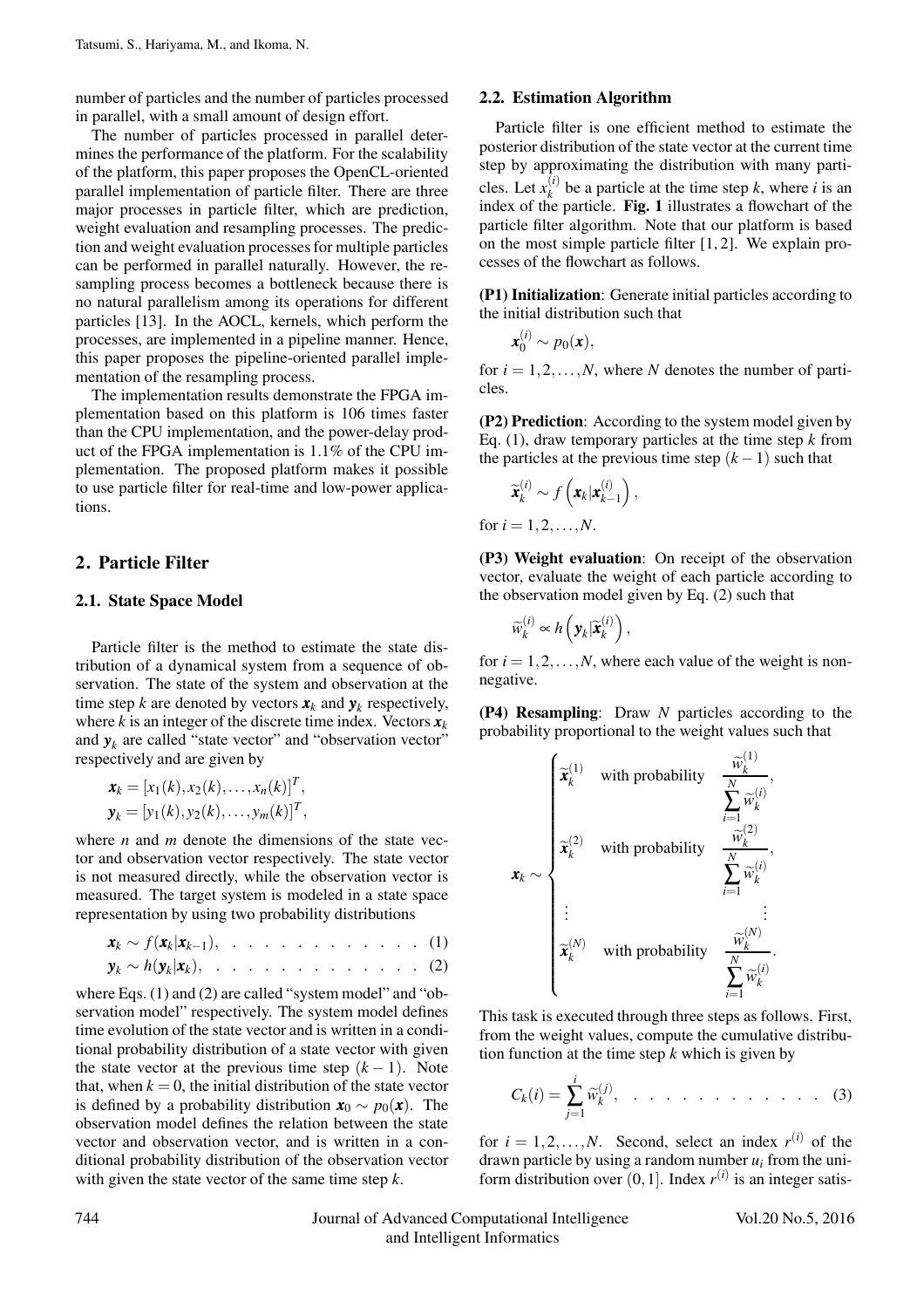number of particles and the number of particles processed in parallel, with a small amount of design effort.

The number of particles processed in parallel determines the performance of the platform. For the scalability of the platform, this paper proposes the OpenCL-oriented parallel implementation of particle filter. There are three major processes in particle filter, which are prediction, weight evaluation and resampling processes. The prediction and weight evaluation processes for multiple particles can be performed in parallel naturally. However, the resampling process becomes a bottleneck because there is no natural parallelism among its operations for different particles [13]. In the AOCL, kernels, which perform the processes, are implemented in a pipeline manner. Hence, this paper proposes the pipeline-oriented parallel implementation of the resampling process.

The implementation results demonstrate the FPGA implementation based on this platform is 106 times faster than the CPU implementation, and the power-delay product of the FPGA implementation is 1.1% of the CPU implementation. The proposed platform makes it possible to use particle filter for real-time and low-power applications.

# 2. Particle Filter

# 2.1. State Space Model

Particle filter is the method to estimate the state distribution of a dynamical system from a sequence of observation. The state of the system and observation at the time step *k* are denoted by vectors  $x_k$  and  $y_k$  respectively, where  $k$  is an integer of the discrete time index. Vectors  $\mathbf{x}_k$ and  $y_k$  are called "state vector" and "observation vector" respectively and are given by

$$
\mathbf{x}_k = [x_1(k), x_2(k), \dots, x_n(k)]^T, \n\mathbf{y}_k = [y_1(k), y_2(k), \dots, y_m(k)]^T,
$$

where *n* and *m* denote the dimensions of the state vector and observation vector respectively. The state vector is not measured directly, while the observation vector is measured. The target system is modeled in a state space representation by using two probability distributions

$$
\mathbf{x}_k \sim f(\mathbf{x}_k | \mathbf{x}_{k-1}), \quad \dots \quad \dots \quad \dots \quad \dots \quad \dots \quad (1)
$$

$$
\mathbf{y}_k \sim h(\mathbf{y}_k|\mathbf{x}_k), \quad \ldots \quad \ldots \quad \ldots \quad \ldots \quad \ldots \quad (2)
$$

where Eqs. (1) and (2) are called "system model" and "observation model" respectively. The system model defines time evolution of the state vector and is written in a conditional probability distribution of a state vector with given the state vector at the previous time step  $(k-1)$ . Note that, when  $k = 0$ , the initial distribution of the state vector is defined by a probability distribution  $x_0 \sim p_0(x)$ . The observation model defines the relation between the state vector and observation vector, and is written in a conditional probability distribution of the observation vector with given the state vector of the same time step *k*.

# 2.2. Estimation Algorithm

Particle filter is one efficient method to estimate the posterior distribution of the state vector at the current time step by approximating the distribution with many particles. Let  $x_k^{(i)}$  be a particle at the time step *k*, where *i* is an index of the particle. Fig. 1 illustrates a flowchart of the index of the particle. Fig. 1 illustrates a flowchart of the particle filter algorithm. Note that our platform is based on the most simple particle filter [1, 2]. We explain processes of the flowchart as follows.

(P1) Initialization: Generate initial particles according to the initial distribution such that

$$
\boldsymbol{x}_0^{(i)} \sim p_0(\boldsymbol{x}),
$$

for  $i = 1, 2, ..., N$ , where *N* denotes the number of particles.

(P2) Prediction: According to the system model given by Eq. (1), draw temporary particles at the time step *k* from the particles at the previous time step  $(k-1)$  such that

$$
\widetilde{\boldsymbol{x}}_k^{(i)} \sim f\left(\boldsymbol{x}_k|\boldsymbol{x}_{k-1}^{(i)}\right),\,
$$

for 
$$
i = 1, 2, ..., N
$$
.

(P3) Weight evaluation: On receipt of the observation vector, evaluate the weight of each particle according to the observation model given by Eq. (2) such that

$$
\widetilde{w}_k^{(i)} \propto h\left(\mathbf{y}_k|\widetilde{\mathbf{x}}_k^{(i)}\right),\,
$$

for  $i = 1, 2, \ldots, N$ , where each value of the weight is nonnegative.

(P4) Resampling: Draw *N* particles according to the probability proportional to the weight values such that



This task is executed through three steps as follows. First, from the weight values, compute the cumulative distribution function at the time step  $k$  which is given by

$$
C_k(i) = \sum_{j=1}^i \widetilde{w}_k^{(j)}, \quad \ldots \quad \ldots \quad \ldots \quad \ldots \quad \ldots \quad (3)
$$

for  $i = 1, 2, ..., N$ . Second, select an index  $r^{(i)}$  of the drawn particle by using a random number *ui* from the uniform distribution over  $(0,1]$ . Index  $r^{(i)}$  is an integer satis-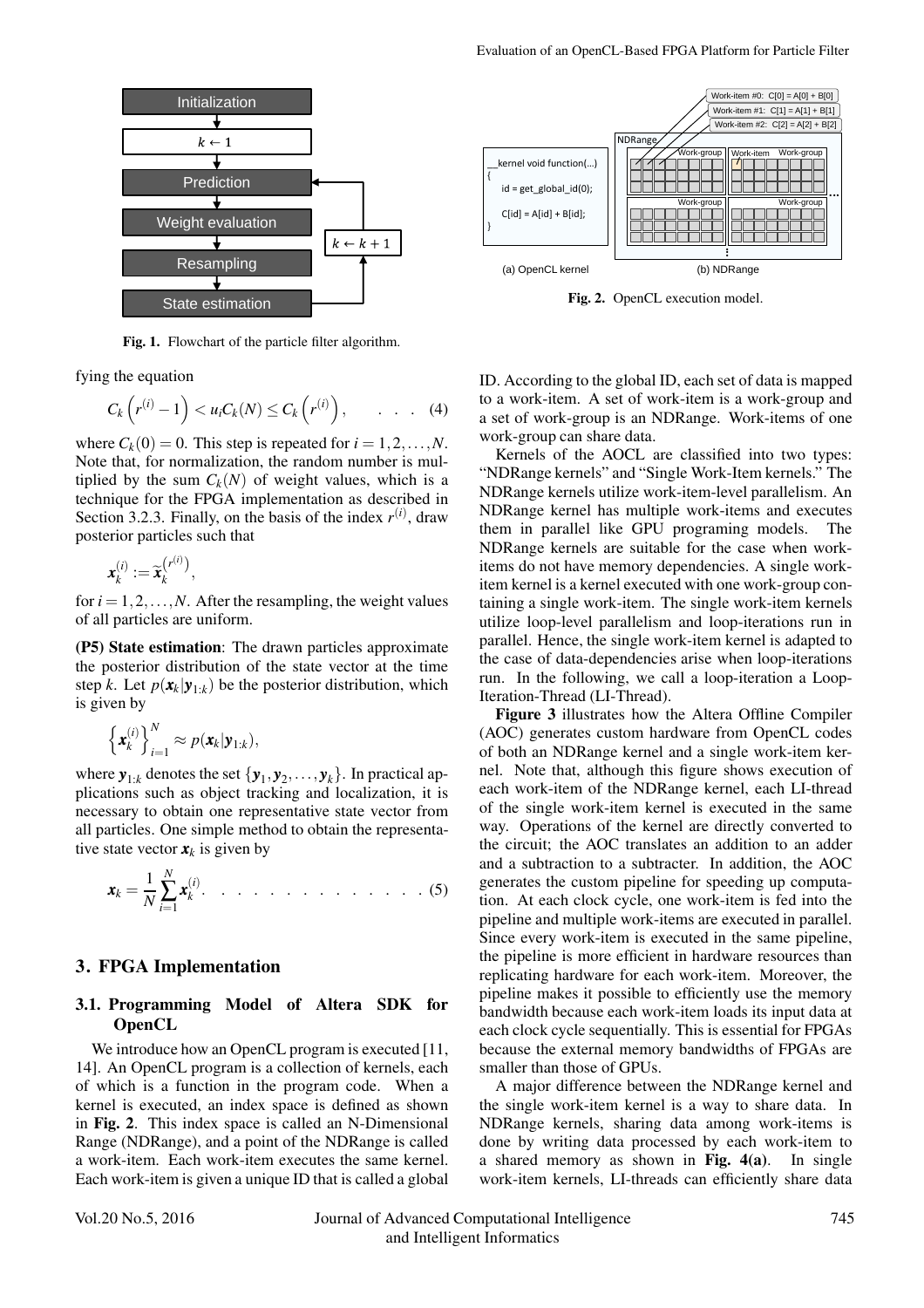

Fig. 1. Flowchart of the particle filter algorithm.

fying the equation

$$
C_k\left(r^{(i)}-1\right) < u_iC_k(N) \leq C_k\left(r^{(i)}\right), \qquad \ldots \qquad (4)
$$

where  $C_k(0) = 0$ . This step is repeated for  $i = 1, 2, \ldots, N$ . Note that, for normalization, the random number is multiplied by the sum  $C_k(N)$  of weight values, which is a technique for the FPGA implementation as described in Section 3.2.3. Finally, on the basis of the index  $r^{(i)}$ , draw posterior particles such that

$$
\mathbf{x}_{k}^{(i)}:=\widetilde{\mathbf{x}}_{k}^{(r^{(i)})},
$$

for  $i = 1, 2, \ldots, N$ . After the resampling, the weight values of all particles are uniform.

(P5) State estimation: The drawn particles approximate the posterior distribution of the state vector at the time step *k*. Let  $p(\mathbf{x}_k|\mathbf{y}_{1:k})$  be the posterior distribution, which is given by

$$
\left\{\mathbf{x}_{k}^{(i)}\right\}_{i=1}^{N} \approx p(\mathbf{x}_{k}|\mathbf{y}_{1:k}),
$$

where  $\mathbf{y}_{1:k}$  denotes the set  $\{\mathbf{y}_1, \mathbf{y}_2, \dots, \mathbf{y}_k\}$ . In practical applications such as object tracking and localization it is plications such as object tracking and localization, it is necessary to obtain one representative state vector from all particles. One simple method to obtain the representative state vector  $x_k$  is given by

*xk* <sup>=</sup> <sup>1</sup> *N* ∑ *i*=1 (*i*) *k .* . . . . . . . . . . . . . (5)

# 3. FPGA Implementation

# 3.1. Programming Model of Altera SDK for **OpenCL**

We introduce how an OpenCL program is executed [11, 14]. An OpenCL program is a collection of kernels, each of which is a function in the program code. When a kernel is executed, an index space is defined as shown in Fig. 2. This index space is called an N-Dimensional Range (NDRange), and a point of the NDRange is called a work-item. Each work-item executes the same kernel. Each work-item is given a unique ID that is called a global



Fig. 2. OpenCL execution model.

ID. According to the global ID, each set of data is mapped to a work-item. A set of work-item is a work-group and a set of work-group is an NDRange. Work-items of one work-group can share data.

Kernels of the AOCL are classified into two types: "NDRange kernels" and "Single Work-Item kernels." The NDRange kernels utilize work-item-level parallelism. An NDRange kernel has multiple work-items and executes them in parallel like GPU programing models. The NDRange kernels are suitable for the case when workitems do not have memory dependencies. A single workitem kernel is a kernel executed with one work-group containing a single work-item. The single work-item kernels utilize loop-level parallelism and loop-iterations run in parallel. Hence, the single work-item kernel is adapted to the case of data-dependencies arise when loop-iterations run. In the following, we call a loop-iteration a Loop-Iteration-Thread (LI-Thread).

Figure 3 illustrates how the Altera Offline Compiler (AOC) generates custom hardware from OpenCL codes of both an NDRange kernel and a single work-item kernel. Note that, although this figure shows execution of each work-item of the NDRange kernel, each LI-thread of the single work-item kernel is executed in the same way. Operations of the kernel are directly converted to the circuit; the AOC translates an addition to an adder and a subtraction to a subtracter. In addition, the AOC generates the custom pipeline for speeding up computation. At each clock cycle, one work-item is fed into the pipeline and multiple work-items are executed in parallel. Since every work-item is executed in the same pipeline, the pipeline is more efficient in hardware resources than replicating hardware for each work-item. Moreover, the pipeline makes it possible to efficiently use the memory bandwidth because each work-item loads its input data at each clock cycle sequentially. This is essential for FPGAs because the external memory bandwidths of FPGAs are smaller than those of GPUs.

A major difference between the NDRange kernel and the single work-item kernel is a way to share data. In NDRange kernels, sharing data among work-items is done by writing data processed by each work-item to a shared memory as shown in Fig.  $4(a)$ . In single work-item kernels, LI-threads can efficiently share data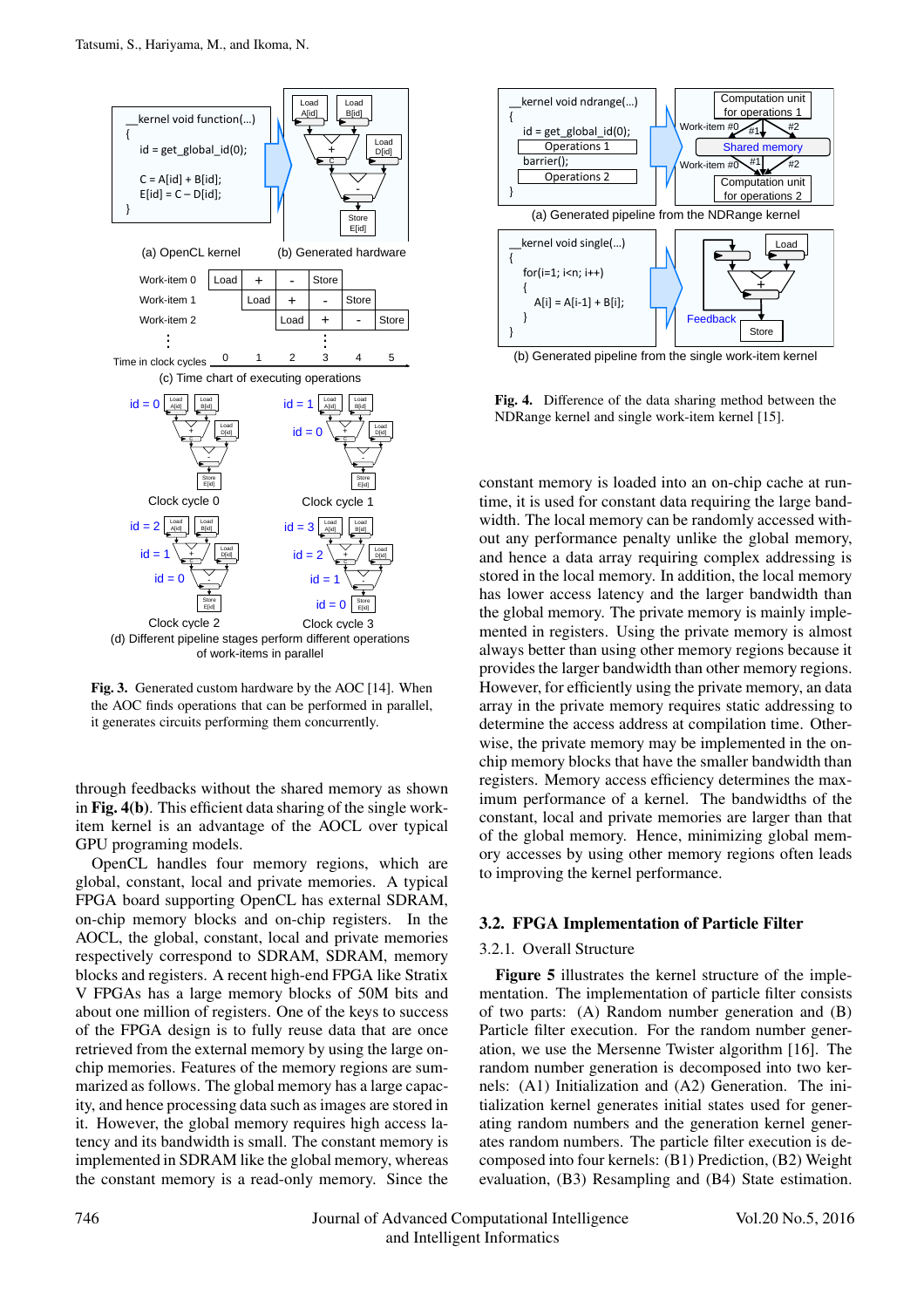

Fig. 3. Generated custom hardware by the AOC [14]. When the AOC finds operations that can be performed in parallel, it generates circuits performing them concurrently.

through feedbacks without the shared memory as shown in Fig. 4(b). This efficient data sharing of the single workitem kernel is an advantage of the AOCL over typical GPU programing models.

OpenCL handles four memory regions, which are global, constant, local and private memories. A typical FPGA board supporting OpenCL has external SDRAM, on-chip memory blocks and on-chip registers. In the AOCL, the global, constant, local and private memories respectively correspond to SDRAM, SDRAM, memory blocks and registers. A recent high-end FPGA like Stratix V FPGAs has a large memory blocks of 50M bits and about one million of registers. One of the keys to success of the FPGA design is to fully reuse data that are once retrieved from the external memory by using the large onchip memories. Features of the memory regions are summarized as follows. The global memory has a large capacity, and hence processing data such as images are stored in it. However, the global memory requires high access latency and its bandwidth is small. The constant memory is implemented in SDRAM like the global memory, whereas the constant memory is a read-only memory. Since the



(b) Generated pipeline from the single work-item kernel

Fig. 4. Difference of the data sharing method between the NDRange kernel and single work-item kernel [15].

constant memory is loaded into an on-chip cache at runtime, it is used for constant data requiring the large bandwidth. The local memory can be randomly accessed without any performance penalty unlike the global memory, and hence a data array requiring complex addressing is stored in the local memory. In addition, the local memory has lower access latency and the larger bandwidth than the global memory. The private memory is mainly implemented in registers. Using the private memory is almost always better than using other memory regions because it provides the larger bandwidth than other memory regions. However, for efficiently using the private memory, an data array in the private memory requires static addressing to determine the access address at compilation time. Otherwise, the private memory may be implemented in the onchip memory blocks that have the smaller bandwidth than registers. Memory access efficiency determines the maximum performance of a kernel. The bandwidths of the constant, local and private memories are larger than that of the global memory. Hence, minimizing global memory accesses by using other memory regions often leads to improving the kernel performance.

# 3.2. FPGA Implementation of Particle Filter

#### 3.2.1. Overall Structure

Figure 5 illustrates the kernel structure of the implementation. The implementation of particle filter consists of two parts: (A) Random number generation and (B) Particle filter execution. For the random number generation, we use the Mersenne Twister algorithm [16]. The random number generation is decomposed into two kernels: (A1) Initialization and (A2) Generation. The initialization kernel generates initial states used for generating random numbers and the generation kernel generates random numbers. The particle filter execution is decomposed into four kernels: (B1) Prediction, (B2) Weight evaluation, (B3) Resampling and (B4) State estimation.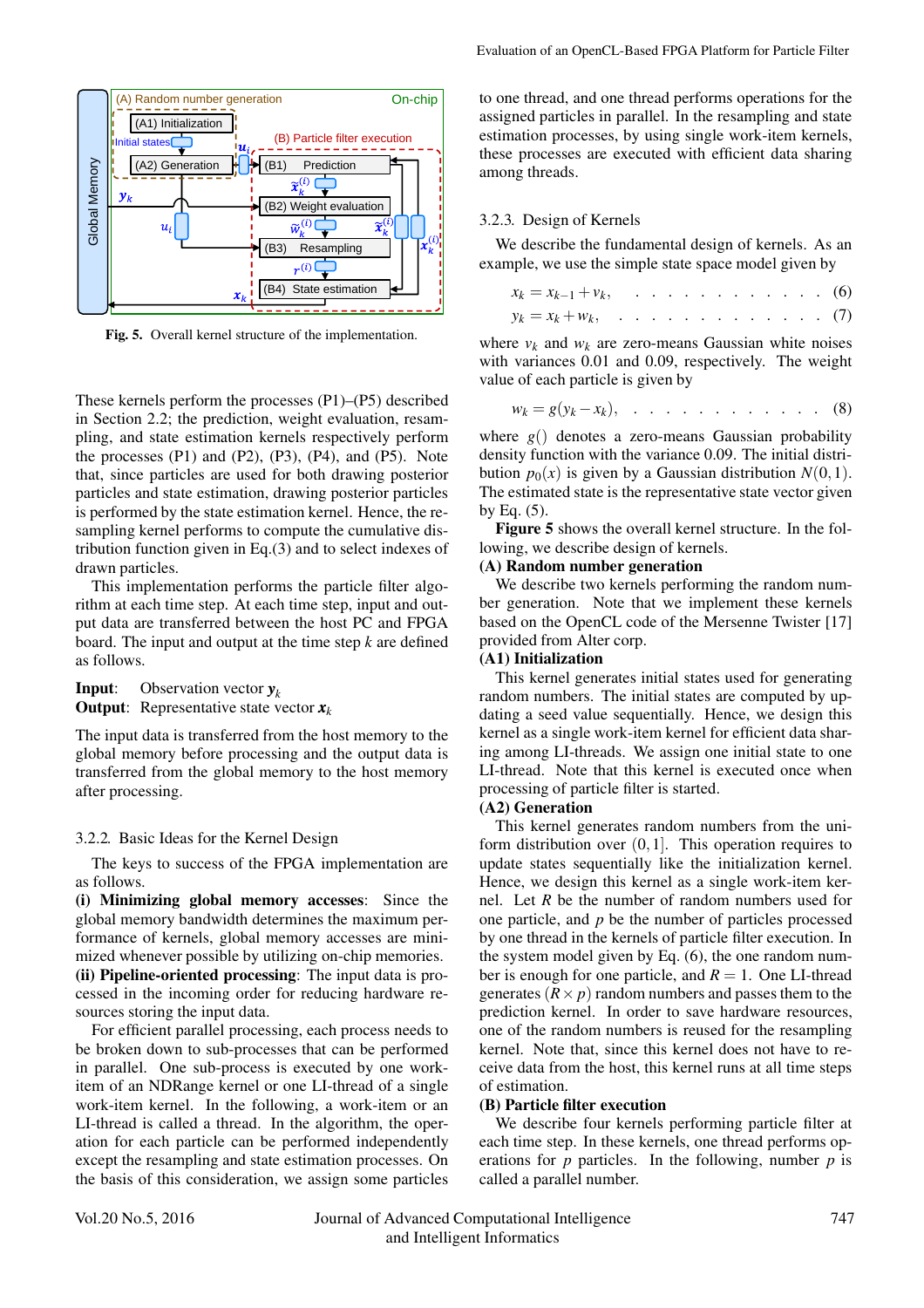

Fig. 5. Overall kernel structure of the implementation.

These kernels perform the processes (P1)–(P5) described in Section 2.2; the prediction, weight evaluation, resampling, and state estimation kernels respectively perform the processes  $(P1)$  and  $(P2)$ ,  $(P3)$ ,  $(P4)$ , and  $(P5)$ . Note that, since particles are used for both drawing posterior particles and state estimation, drawing posterior particles is performed by the state estimation kernel. Hence, the resampling kernel performs to compute the cumulative distribution function given in Eq.(3) and to select indexes of drawn particles.

This implementation performs the particle filter algorithm at each time step. At each time step, input and output data are transferred between the host PC and FPGA board. The input and output at the time step *k* are defined as follows.

**Input:** Observation vector  $y_k$ <br>**Output:** Representative state v **Output:** Representative state vector  $x_k$ 

The input data is transferred from the host memory to the global memory before processing and the output data is transferred from the global memory to the host memory after processing.

# 3.2.2. Basic Ideas for the Kernel Design

The keys to success of the FPGA implementation are as follows.

(i) Minimizing global memory accesses: Since the global memory bandwidth determines the maximum performance of kernels, global memory accesses are minimized whenever possible by utilizing on-chip memories. (ii) Pipeline-oriented processing: The input data is processed in the incoming order for reducing hardware re-

sources storing the input data. For efficient parallel processing, each process needs to

be broken down to sub-processes that can be performed in parallel. One sub-process is executed by one workitem of an NDRange kernel or one LI-thread of a single work-item kernel. In the following, a work-item or an LI-thread is called a thread. In the algorithm, the operation for each particle can be performed independently except the resampling and state estimation processes. On the basis of this consideration, we assign some particles to one thread, and one thread performs operations for the assigned particles in parallel. In the resampling and state estimation processes, by using single work-item kernels, these processes are executed with efficient data sharing among threads.

#### 3.2.3. Design of Kernels

We describe the fundamental design of kernels. As an example, we use the simple state space model given by

$$
x_k = x_{k-1} + v_k, \qquad \dots \qquad \dots \qquad \dots \qquad \dots \qquad (6)
$$

$$
y_k = x_k + w_k, \quad \ldots \quad \ldots \quad \ldots \quad \ldots \quad \ldots \quad (7)
$$

where  $v_k$  and  $w_k$  are zero-means Gaussian white noises with variances 0.01 and 0.09, respectively. The weight value of each particle is given by

 $w_k = g(y_k - x_k), \ldots \ldots \ldots \ldots \ldots \ldots (8)$ 

where *g*() denotes a zero-means Gaussian probability density function with the variance 0.09. The initial distribution  $p_0(x)$  is given by a Gaussian distribution  $N(0,1)$ . The estimated state is the representative state vector given by Eq. (5).

Figure 5 shows the overall kernel structure. In the following, we describe design of kernels.

## (A) Random number generation

We describe two kernels performing the random number generation. Note that we implement these kernels based on the OpenCL code of the Mersenne Twister [17] provided from Alter corp.

# (A1) Initialization

This kernel generates initial states used for generating random numbers. The initial states are computed by updating a seed value sequentially. Hence, we design this kernel as a single work-item kernel for efficient data sharing among LI-threads. We assign one initial state to one LI-thread. Note that this kernel is executed once when processing of particle filter is started.

# (A2) Generation

This kernel generates random numbers from the uniform distribution over (0*,*1]. This operation requires to update states sequentially like the initialization kernel. Hence, we design this kernel as a single work-item kernel. Let *R* be the number of random numbers used for one particle, and *p* be the number of particles processed by one thread in the kernels of particle filter execution. In the system model given by Eq. (6), the one random number is enough for one particle, and  $R = 1$ . One LI-thread generates  $(R \times p)$  random numbers and passes them to the prediction kernel. In order to save hardware resources, one of the random numbers is reused for the resampling kernel. Note that, since this kernel does not have to receive data from the host, this kernel runs at all time steps of estimation.

#### (B) Particle filter execution

We describe four kernels performing particle filter at each time step. In these kernels, one thread performs operations for  $p$  particles. In the following, number  $p$  is called a parallel number.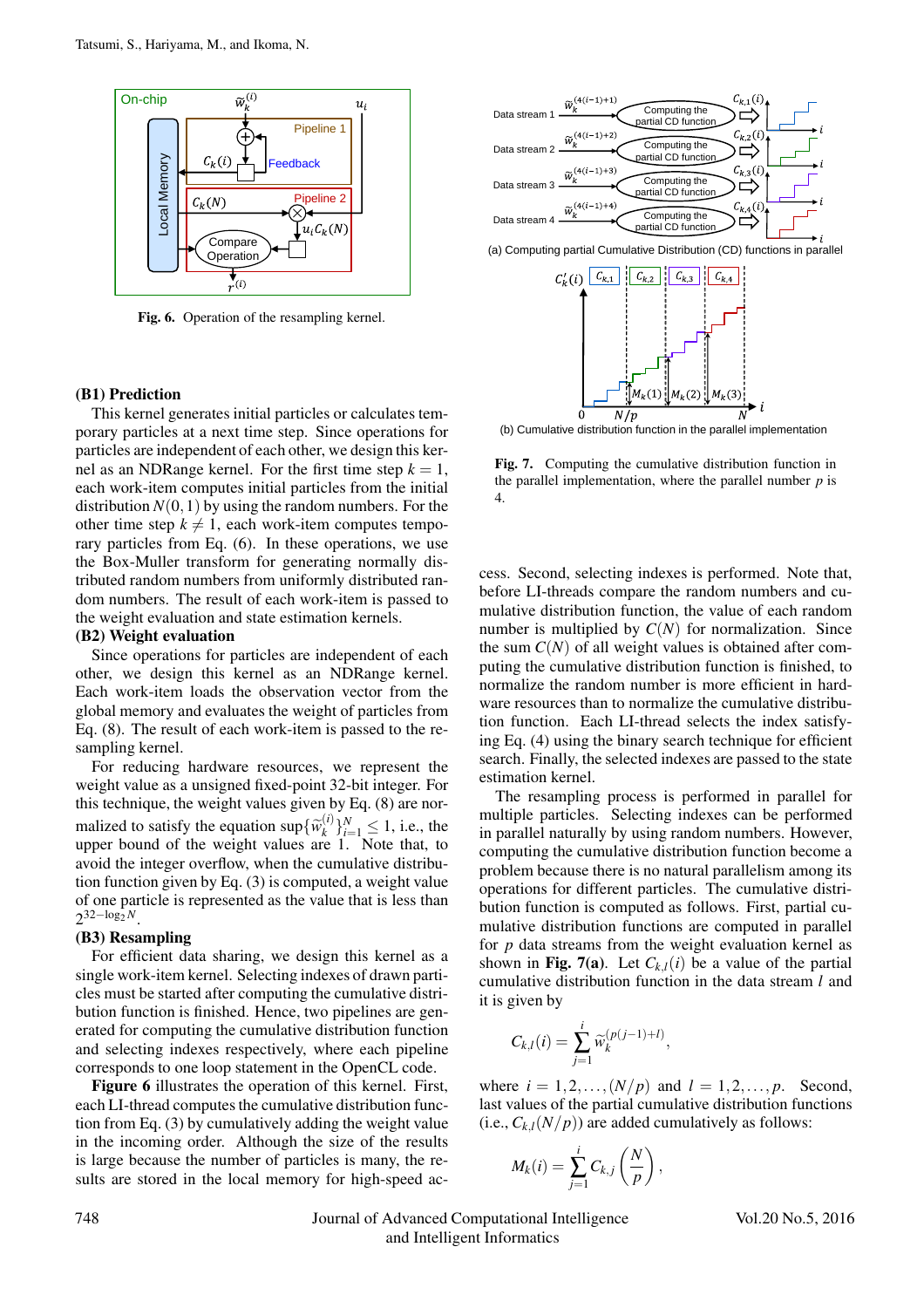

Fig. 6. Operation of the resampling kernel.

#### (B1) Prediction

This kernel generates initial particles or calculates temporary particles at a next time step. Since operations for particles are independent of each other, we design this kernel as an NDRange kernel. For the first time step  $k = 1$ , each work-item computes initial particles from the initial distribution  $N(0, 1)$  by using the random numbers. For the other time step  $k \neq 1$ , each work-item computes temporary particles from Eq. (6). In these operations, we use the Box-Muller transform for generating normally distributed random numbers from uniformly distributed random numbers. The result of each work-item is passed to the weight evaluation and state estimation kernels.

## (B2) Weight evaluation

Since operations for particles are independent of each other, we design this kernel as an NDRange kernel. Each work-item loads the observation vector from the global memory and evaluates the weight of particles from Eq. (8). The result of each work-item is passed to the resampling kernel.

For reducing hardware resources, we represent the weight value as a unsigned fixed-point 32-bit integer. For this technique, the weight values given by Eq. (8) are normalized to satisfy the equation  $\sup{\{\widetilde{w}_k^{(i)}\}_{i=1}^N} \leq 1$ , i.e., the upper bound of the weight values are 1. Note that to upper bound of the weight values are 1. Note that, to avoid the integer overflow, when the cumulative distribution function given by Eq. (3) is computed, a weight value of one particle is represented as the value that is less than  $2^{32-\log_2 N}$ 

#### (B3) Resampling

For efficient data sharing, we design this kernel as a single work-item kernel. Selecting indexes of drawn particles must be started after computing the cumulative distribution function is finished. Hence, two pipelines are generated for computing the cumulative distribution function and selecting indexes respectively, where each pipeline corresponds to one loop statement in the OpenCL code.

Figure 6 illustrates the operation of this kernel. First, each LI-thread computes the cumulative distribution function from Eq. (3) by cumulatively adding the weight value in the incoming order. Although the size of the results is large because the number of particles is many, the results are stored in the local memory for high-speed ac-



(b) Cumulative distribution function in the parallel implementation

Fig. 7. Computing the cumulative distribution function in the parallel implementation, where the parallel number  $p$  is 4.

cess. Second, selecting indexes is performed. Note that, before LI-threads compare the random numbers and cumulative distribution function, the value of each random number is multiplied by  $C(N)$  for normalization. Since the sum  $C(N)$  of all weight values is obtained after computing the cumulative distribution function is finished, to normalize the random number is more efficient in hardware resources than to normalize the cumulative distribution function. Each LI-thread selects the index satisfying Eq. (4) using the binary search technique for efficient search. Finally, the selected indexes are passed to the state estimation kernel.

The resampling process is performed in parallel for multiple particles. Selecting indexes can be performed in parallel naturally by using random numbers. However, computing the cumulative distribution function become a problem because there is no natural parallelism among its operations for different particles. The cumulative distribution function is computed as follows. First, partial cumulative distribution functions are computed in parallel for *p* data streams from the weight evaluation kernel as shown in Fig. 7(a). Let  $C_{k,l}(i)$  be a value of the partial cumulative distribution function in the data stream *l* and it is given by

$$
C_{k,l}(i) = \sum_{j=1}^i \widetilde{w}_k^{(p(j-1)+l)},
$$

where  $i = 1, 2, ..., (N/p)$  and  $l = 1, 2, ..., p$ . Second, last values of the partial cumulative distribution functions  $(i.e., C_{k,l}(N/p))$  are added cumulatively as follows:

$$
M_k(i) = \sum_{j=1}^i C_{k,j} \left(\frac{N}{p}\right),\,
$$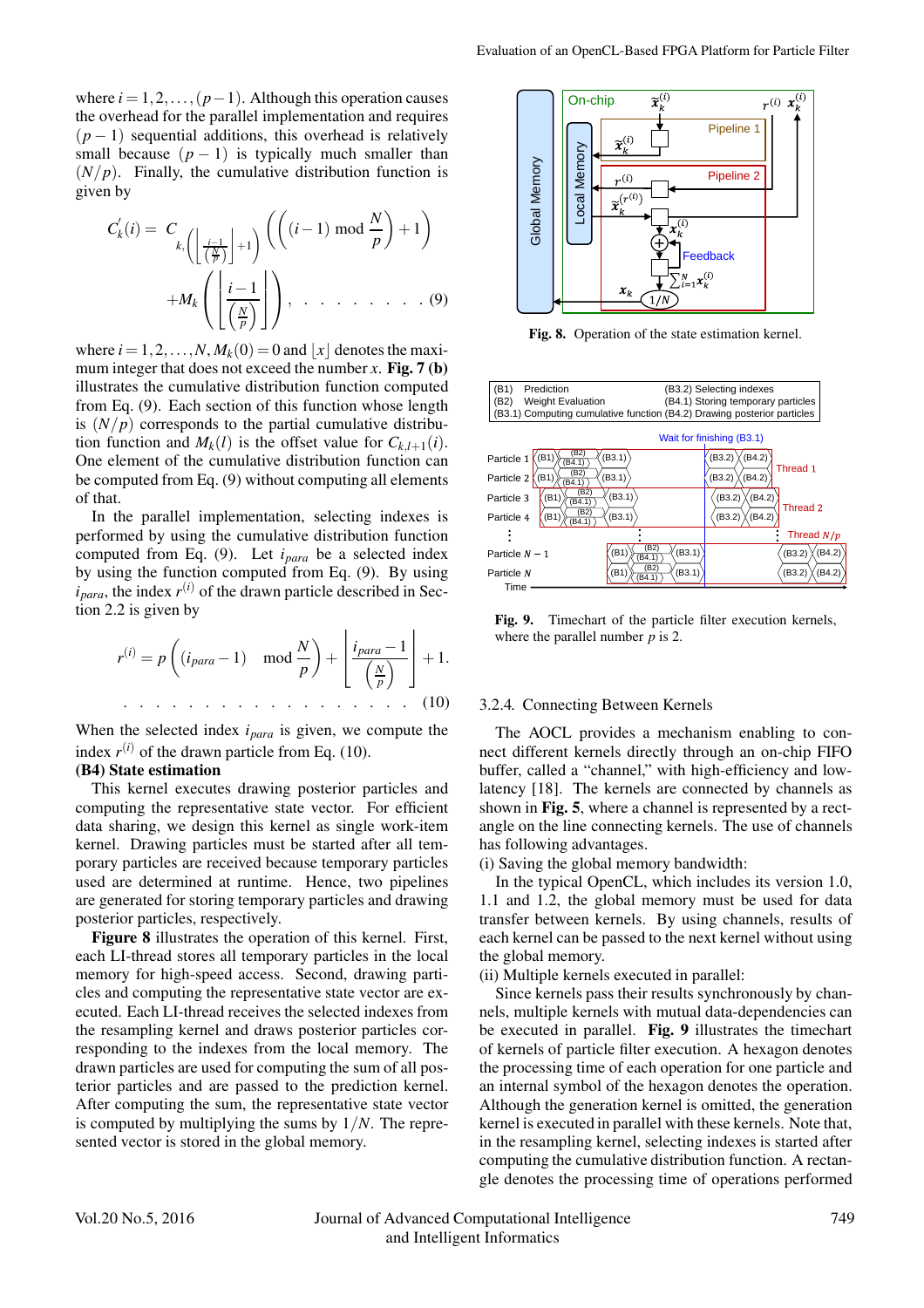where  $i = 1, 2, \ldots, (p-1)$ . Although this operation causes the overhead for the parallel implementation and requires  $(p-1)$  sequential additions, this overhead is relatively small because  $(p - 1)$  is typically much smaller than  $(N/p)$ . Finally, the cumulative distribution function is given by

$$
C'_{k}(i) = C_{k, \left(\left\lfloor \frac{i-1}{\left(\frac{N}{p}\right)} \right\rfloor + 1\right)} \left(\left((i-1) \mod \frac{N}{p}\right) + 1\right)
$$

$$
+ M_{k} \left(\left\lfloor \frac{i-1}{\left(\frac{N}{p}\right)} \right\rfloor\right), \quad \dots \quad \dots \quad . \quad . \quad . \tag{9}
$$

where  $i = 1, 2, \ldots, N$ ,  $M_k(0) = 0$  and  $|x|$  denotes the maximum integer that does not exceed the number  $x$ . Fig. 7 (b) illustrates the cumulative distribution function computed from Eq. (9). Each section of this function whose length is  $(N/p)$  corresponds to the partial cumulative distribution function and  $M_k(l)$  is the offset value for  $C_{k,l+1}(i)$ . One element of the cumulative distribution function can be computed from Eq. (9) without computing all elements of that.

In the parallel implementation, selecting indexes is performed by using the cumulative distribution function computed from Eq. (9). Let *ipara* be a selected index by using the function computed from Eq. (9). By using  $i<sub>para</sub>$ , the index  $r^{(i)}$  of the drawn particle described in Section 2.2 is given by

$$
r^{(i)} = p\left((i_{para}-1) \mod \frac{N}{p}\right) + \left\lfloor \frac{i_{para}-1}{\left(\frac{N}{p}\right)} \right\rfloor + 1.
$$
 (10)

When the selected index *ipara* is given, we compute the index  $r^{(i)}$  of the drawn particle from Eq. (10).

# (B4) State estimation

This kernel executes drawing posterior particles and computing the representative state vector. For efficient data sharing, we design this kernel as single work-item kernel. Drawing particles must be started after all temporary particles are received because temporary particles used are determined at runtime. Hence, two pipelines are generated for storing temporary particles and drawing posterior particles, respectively.

Figure 8 illustrates the operation of this kernel. First, each LI-thread stores all temporary particles in the local memory for high-speed access. Second, drawing particles and computing the representative state vector are executed. Each LI-thread receives the selected indexes from the resampling kernel and draws posterior particles corresponding to the indexes from the local memory. The drawn particles are used for computing the sum of all posterior particles and are passed to the prediction kernel. After computing the sum, the representative state vector is computed by multiplying the sums by 1*/N*. The represented vector is stored in the global memory.



Fig. 8. Operation of the state estimation kernel.



Fig. 9. Timechart of the particle filter execution kernels, where the parallel number *p* is 2.

#### 3.2.4. Connecting Between Kernels

The AOCL provides a mechanism enabling to connect different kernels directly through an on-chip FIFO buffer, called a "channel," with high-efficiency and lowlatency [18]. The kernels are connected by channels as shown in Fig. 5, where a channel is represented by a rectangle on the line connecting kernels. The use of channels has following advantages.

(i) Saving the global memory bandwidth:

In the typical OpenCL, which includes its version 1.0, 1.1 and 1.2, the global memory must be used for data transfer between kernels. By using channels, results of each kernel can be passed to the next kernel without using the global memory.

(ii) Multiple kernels executed in parallel:

Since kernels pass their results synchronously by channels, multiple kernels with mutual data-dependencies can be executed in parallel. Fig. 9 illustrates the timechart of kernels of particle filter execution. A hexagon denotes the processing time of each operation for one particle and an internal symbol of the hexagon denotes the operation. Although the generation kernel is omitted, the generation kernel is executed in parallel with these kernels. Note that, in the resampling kernel, selecting indexes is started after computing the cumulative distribution function. A rectangle denotes the processing time of operations performed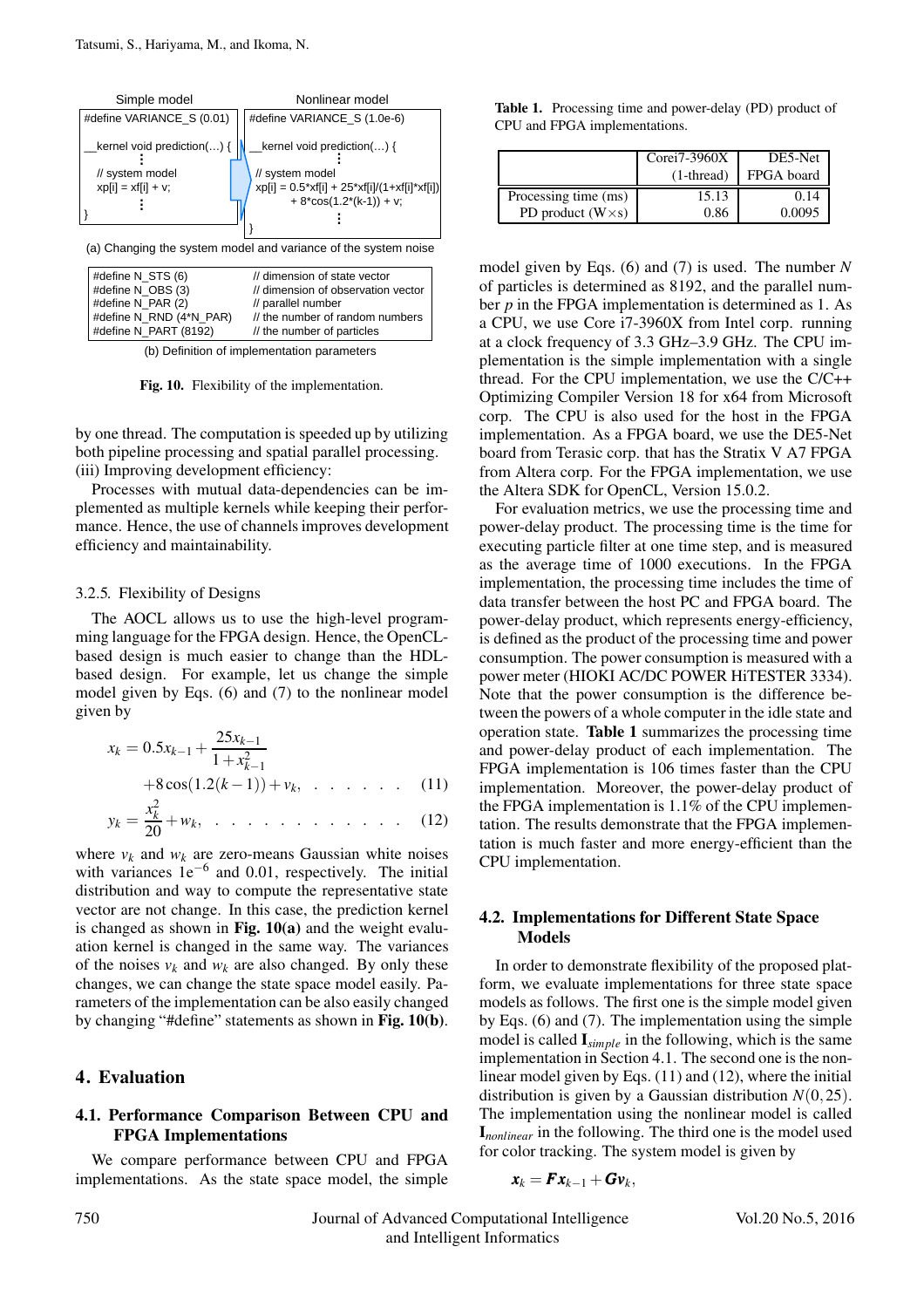

(b) Definition of implementation parameters

Fig. 10. Flexibility of the implementation.

by one thread. The computation is speeded up by utilizing both pipeline processing and spatial parallel processing. (iii) Improving development efficiency:

Processes with mutual data-dependencies can be implemented as multiple kernels while keeping their performance. Hence, the use of channels improves development efficiency and maintainability.

#### 3.2.5. Flexibility of Designs

The AOCL allows us to use the high-level programming language for the FPGA design. Hence, the OpenCLbased design is much easier to change than the HDLbased design. For example, let us change the simple model given by Eqs. (6) and (7) to the nonlinear model given by

$$
x_k = 0.5x_{k-1} + \frac{25x_{k-1}}{1 + x_{k-1}^2} + 8\cos(1.2(k-1)) + v_k, \dots \dots \dots \tag{11}
$$

$$
y_k = \frac{x_k^2}{20} + w_k, \quad \dots \quad \dots \quad \dots \quad \dots \quad (12)
$$

where  $v_k$  and  $w_k$  are zero-means Gaussian white noises with variances 1e−<sup>6</sup> and 0.01, respectively. The initial distribution and way to compute the representative state vector are not change. In this case, the prediction kernel is changed as shown in Fig.  $10(a)$  and the weight evaluation kernel is changed in the same way. The variances of the noises  $v_k$  and  $w_k$  are also changed. By only these changes, we can change the state space model easily. Parameters of the implementation can be also easily changed by changing "#define" statements as shown in Fig. 10(b).

# 4. Evaluation

# 4.1. Performance Comparison Between CPU and FPGA Implementations

We compare performance between CPU and FPGA implementations. As the state space model, the simple

Table 1. Processing time and power-delay (PD) product of CPU and FPGA implementations.

|                           | Corei $7-3960X$ | DE5-Net    |
|---------------------------|-----------------|------------|
|                           | $(1-th read)$   | FPGA board |
| Processing time (ms)      | 15.13           | 0.14       |
| PD product $(W \times s)$ | 0.86            | 0.0095     |

model given by Eqs. (6) and (7) is used. The number *N* of particles is determined as 8192, and the parallel number *p* in the FPGA implementation is determined as 1. As a CPU, we use Core i7-3960X from Intel corp. running at a clock frequency of 3.3 GHz–3.9 GHz. The CPU implementation is the simple implementation with a single thread. For the CPU implementation, we use the C/C++ Optimizing Compiler Version 18 for x64 from Microsoft corp. The CPU is also used for the host in the FPGA implementation. As a FPGA board, we use the DE5-Net board from Terasic corp. that has the Stratix V A7 FPGA from Altera corp. For the FPGA implementation, we use the Altera SDK for OpenCL, Version 15.0.2.

For evaluation metrics, we use the processing time and power-delay product. The processing time is the time for executing particle filter at one time step, and is measured as the average time of 1000 executions. In the FPGA implementation, the processing time includes the time of data transfer between the host PC and FPGA board. The power-delay product, which represents energy-efficiency, is defined as the product of the processing time and power consumption. The power consumption is measured with a power meter (HIOKI AC/DC POWER HiTESTER 3334). Note that the power consumption is the difference between the powers of a whole computer in the idle state and operation state. Table 1 summarizes the processing time and power-delay product of each implementation. The FPGA implementation is 106 times faster than the CPU implementation. Moreover, the power-delay product of the FPGA implementation is 1.1% of the CPU implementation. The results demonstrate that the FPGA implementation is much faster and more energy-efficient than the CPU implementation.

# 4.2. Implementations for Different State Space Models

In order to demonstrate flexibility of the proposed platform, we evaluate implementations for three state space models as follows. The first one is the simple model given by Eqs. (6) and (7). The implementation using the simple model is called <sup>I</sup>*simple* in the following, which is the same implementation in Section 4.1. The second one is the nonlinear model given by Eqs. (11) and (12), where the initial distribution is given by a Gaussian distribution *N*(0*,*25). The implementation using the nonlinear model is called <sup>I</sup>*nonlinear* in the following. The third one is the model used for color tracking. The system model is given by

$$
\boldsymbol{x}_k = \boldsymbol{F} \boldsymbol{x}_{k-1} + \boldsymbol{G} \boldsymbol{v}_k,
$$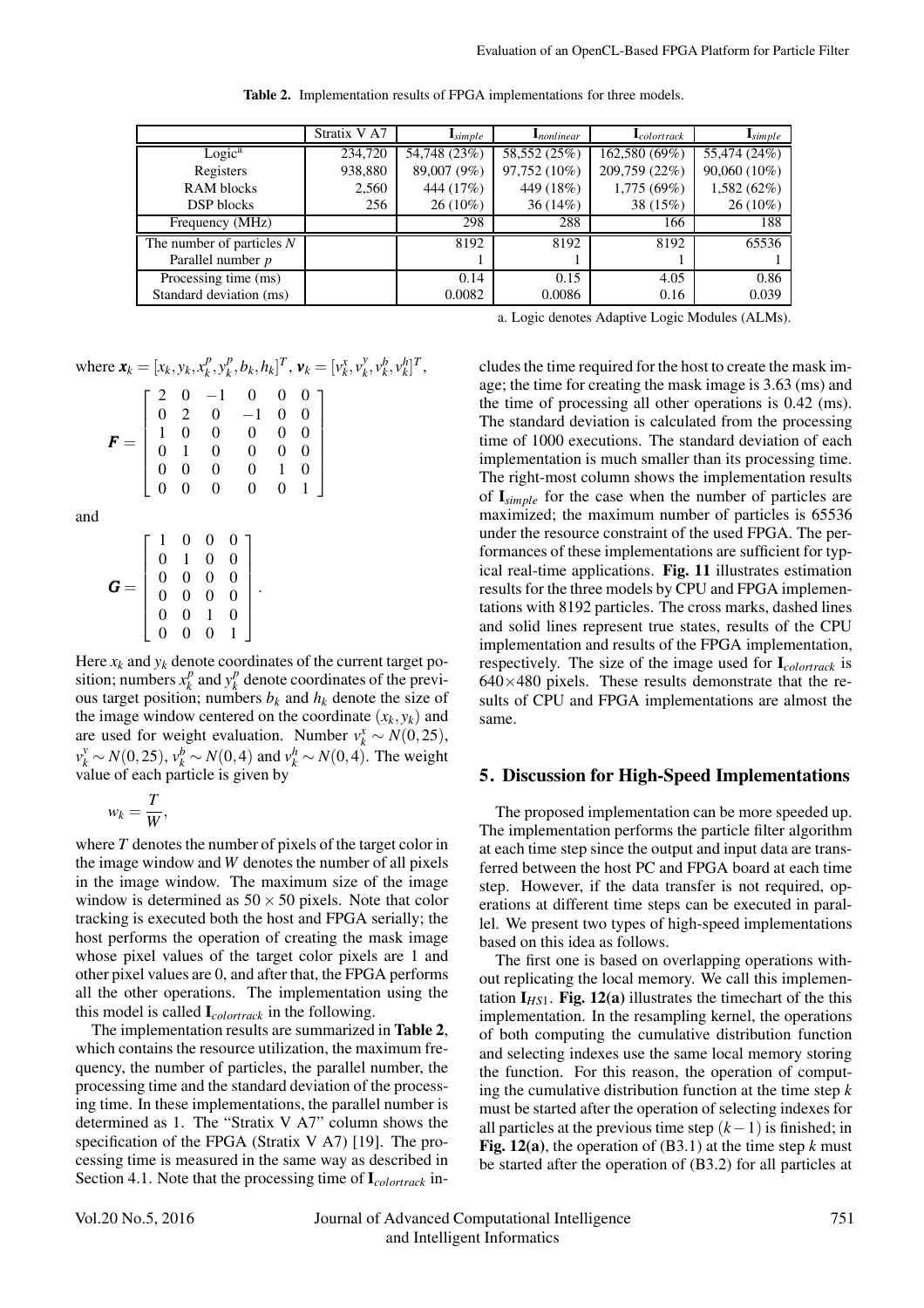|  |  |  |  | <b>Table 2.</b> Implementation results of FPGA implementations for three models. |
|--|--|--|--|----------------------------------------------------------------------------------|
|--|--|--|--|----------------------------------------------------------------------------------|

|                             | Stratix V A7 | $\mathbf{I}_{simple}$ | $\mathbf{I}_{nonlinear}$ | $\mathbf{I}_{colortrack}$ | $\mathbf{I}_{simple}$ |
|-----------------------------|--------------|-----------------------|--------------------------|---------------------------|-----------------------|
| Logic <sup>a</sup>          | 234,720      | 54,748 (23%)          | 58,552 (25%)             | 162,580 (69%)             | 55,474 (24%)          |
| Registers                   | 938,880      | 89,007 (9%)           | 97,752 (10%)             | 209,759 (22%)             | 90,060 (10%)          |
| RAM blocks                  | 2,560        | 444 (17%)             | 449 (18%)                | 1,775(69%)                | 1,582(62%)            |
| DSP blocks                  | 256          | $26(10\%)$            | 36(14%)                  | 38(15%)                   | $26(10\%)$            |
| Frequency (MHz)             |              | 298                   | 288                      | 166                       | 188                   |
| The number of particles $N$ |              | 8192                  | 8192                     | 8192                      | 65536                 |
| Parallel number p           |              |                       |                          |                           |                       |
| Processing time (ms)        |              | 0.14                  | 0.15                     | 4.05                      | 0.86                  |
| Standard deviation (ms)     |              | 0.0082                | 0.0086                   | 0.16                      | 0.039                 |

a. Logic denotes Adaptive Logic Modules (ALMs).

cludes the time required for the host to create the mask image; the time for creating the mask image is 3.63 (ms) and the time of processing all other operations is 0.42 (ms). The standard deviation is calculated from the processing time of 1000 executions. The standard deviation of each implementation is much smaller than its processing time. The right-most column shows the implementation results of <sup>I</sup>*simple* for the case when the number of particles are maximized; the maximum number of particles is 65536 under the resource constraint of the used FPGA. The performances of these implementations are sufficient for typical real-time applications. Fig. 11 illustrates estimation results for the three models by CPU and FPGA implementations with 8192 particles. The cross marks, dashed lines and solid lines represent true states, results of the CPU implementation and results of the FPGA implementation, respectively. The size of the image used for <sup>I</sup>*colortrack* is  $640\times480$  pixels. These results demonstrate that the results of CPU and FPGA implementations are almost the same.

# 5. Discussion for High-Speed Implementations

The proposed implementation can be more speeded up. The implementation performs the particle filter algorithm at each time step since the output and input data are transferred between the host PC and FPGA board at each time step. However, if the data transfer is not required, operations at different time steps can be executed in parallel. We present two types of high-speed implementations based on this idea as follows.

The first one is based on overlapping operations without replicating the local memory. We call this implementation  $I_{HS1}$ . Fig. 12(a) illustrates the timechart of the this implementation. In the resampling kernel, the operations of both computing the cumulative distribution function and selecting indexes use the same local memory storing the function. For this reason, the operation of computing the cumulative distribution function at the time step *k* must be started after the operation of selecting indexes for all particles at the previous time step (*k*−1) is finished; in Fig. 12(a), the operation of (B3.1) at the time step *k* must be started after the operation of (B3.2) for all particles at

| where $\mathbf{x}_k = [x_k, y_k, x_k^p, y_k^p, b_k, h_k]^T$ , $\mathbf{v}_k = [v_k^x, v_k^y, v_k^b, v_k^h]^T$ , |  |  |  |
|-----------------------------------------------------------------------------------------------------------------|--|--|--|
|                                                                                                                 |  |  |  |

|  | $\left[ \begin{array}{ccccccc} 2 & 0 & -1 & 0 & 0 & 0 \ 0 & 2 & 0 & -1 & 0 & 0 \ 1 & 0 & 0 & 0 & 0 & 0 \ 0 & 1 & 0 & 0 & 0 & 0 \ 0 & 0 & 0 & 0 & 1 & 0 \ 0 & 0 & 0 & 0 & 0 & 1 \end{array} \right]$ |  |  |
|--|-----------------------------------------------------------------------------------------------------------------------------------------------------------------------------------------------------|--|--|
|  |                                                                                                                                                                                                     |  |  |

and

$$
\mathbf{G} = \left[ \begin{array}{cccc} 1 & 0 & 0 & 0 \\ 0 & 1 & 0 & 0 \\ 0 & 0 & 0 & 0 \\ 0 & 0 & 0 & 0 \\ 0 & 0 & 1 & 0 \\ 0 & 0 & 0 & 1 \end{array} \right].
$$

Here  $x_k$  and  $y_k$  denote coordinates of the current target position; numbers  $x_k^p$  and  $y_k^p$  denote coordinates of the previ-<br>ous target position: numbers  $b_k$  and  $b_k$  denote the size of ous target position; numbers  $b_k$  and  $h_k$  denote the size of the image window centered on the coordinate  $(x_k, y_k)$  and are used for weight evaluation. Number  $v_k^x \sim N(0, 25)$ ,<br> $v^y \sim N(0, 25)$ ,  $v^b \sim N(0, 4)$  and  $v^h \sim N(0, 4)$ . The weight value of each particle is given by *y*<sub>k</sub> ∼ *N*(0*,*25), *v<sub><i>k*</sub></sub> ∼ *N*(0*,*4) and *v<sub><i>h*</sub><sup>*h*</sup> ∼ *N*(0*,*4). The weight alue of each particle is given by

$$
w_k = \frac{T}{W},
$$

where *T* denotes the number of pixels of the target color in<br>the image window and *W* denotes the number of all pixels the image window and *W* denotes the number of all pixels in the image window. The maximum size of the image window is determined as  $50 \times 50$  pixels. Note that color tracking is executed both the host and FPGA serially; the host performs the operation of creating the mask image whose pixel values of the target color pixels are 1 and other pixel values are 0, and after that, the FPGA performs all the other operations. The implementation using the this model is called <sup>I</sup>*colortrack* in the following.

The implementation results are summarized in Table 2, which contains the resource utilization, the maximum frequency, the number of particles, the parallel number, the processing time and the standard deviation of the processing time. In these implementations, the parallel number is determined as 1. The "Stratix V A7" column shows the specification of the FPGA (Stratix V A7) [19]. The processing time is measured in the same way as described in Section 4.1. Note that the processing time of <sup>I</sup>*colortrack* in-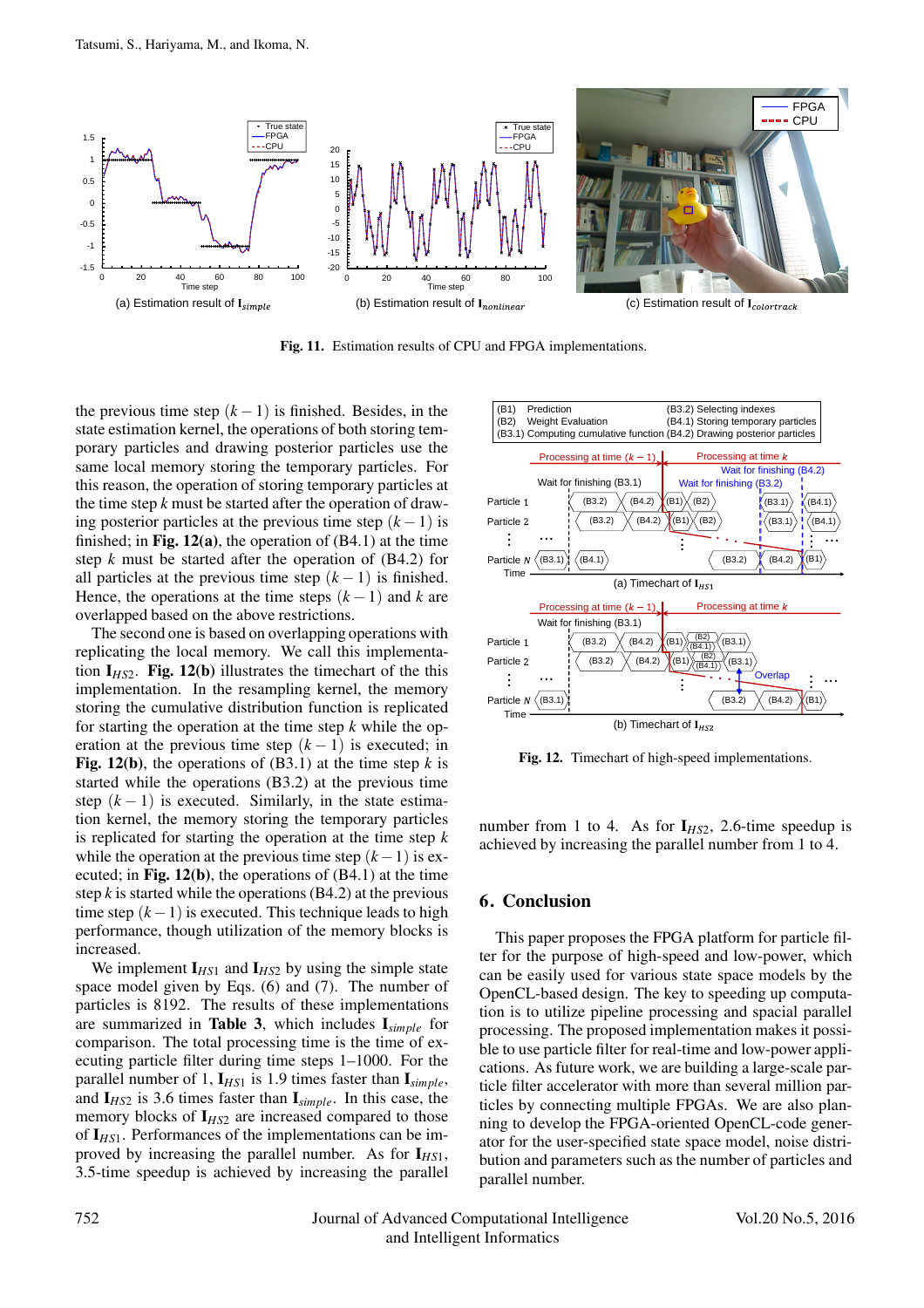

Fig. 11. Estimation results of CPU and FPGA implementations.

the previous time step  $(k-1)$  is finished. Besides, in the state estimation kernel, the operations of both storing temporary particles and drawing posterior particles use the same local memory storing the temporary particles. For this reason, the operation of storing temporary particles at the time step *k* must be started after the operation of drawing posterior particles at the previous time step  $(k-1)$  is finished; in Fig.  $12(a)$ , the operation of  $(B4.1)$  at the time step *k* must be started after the operation of (B4.2) for all particles at the previous time step  $(k-1)$  is finished. Hence, the operations at the time steps  $(k-1)$  and *k* are overlapped based on the above restrictions.

The second one is based on overlapping operations with replicating the local memory. We call this implementation <sup>I</sup>*HS*2. Fig. 12(b) illustrates the timechart of the this implementation. In the resampling kernel, the memory storing the cumulative distribution function is replicated for starting the operation at the time step *k* while the operation at the previous time step  $(k-1)$  is executed; in Fig. 12(b), the operations of  $(B3.1)$  at the time step k is started while the operations (B3.2) at the previous time step  $(k-1)$  is executed. Similarly, in the state estimation kernel, the memory storing the temporary particles is replicated for starting the operation at the time step *k* while the operation at the previous time step  $(k-1)$  is executed; in Fig.  $12(b)$ , the operations of  $(B4.1)$  at the time step  $k$  is started while the operations  $(B4.2)$  at the previous time step (*k*−1) is executed. This technique leads to high performance, though utilization of the memory blocks is increased.

We implement  $I_{HS1}$  and  $I_{HS2}$  by using the simple state space model given by Eqs. (6) and (7). The number of particles is 8192. The results of these implementations are summarized in Table 3, which includes <sup>I</sup>*simple* for comparison. The total processing time is the time of executing particle filter during time steps 1–1000. For the parallel number of 1, <sup>I</sup>*HS*<sup>1</sup> is 1.9 times faster than <sup>I</sup>*simple*, and <sup>I</sup>*HS*<sup>2</sup> is 3.6 times faster than <sup>I</sup>*simple*. In this case, the memory blocks of I<sub>HS2</sub> are increased compared to those of <sup>I</sup>*HS*1. Performances of the implementations can be improved by increasing the parallel number. As for  $I_{HS1}$ , 3.5-time speedup is achieved by increasing the parallel



Fig. 12. Timechart of high-speed implementations.

number from 1 to 4. As for  $I_{H<sub>S2</sub>}$ , 2.6-time speedup is achieved by increasing the parallel number from 1 to 4.

## 6. Conclusion

This paper proposes the FPGA platform for particle filter for the purpose of high-speed and low-power, which can be easily used for various state space models by the OpenCL-based design. The key to speeding up computation is to utilize pipeline processing and spacial parallel processing. The proposed implementation makes it possible to use particle filter for real-time and low-power applications. As future work, we are building a large-scale particle filter accelerator with more than several million particles by connecting multiple FPGAs. We are also planning to develop the FPGA-oriented OpenCL-code generator for the user-specified state space model, noise distribution and parameters such as the number of particles and parallel number.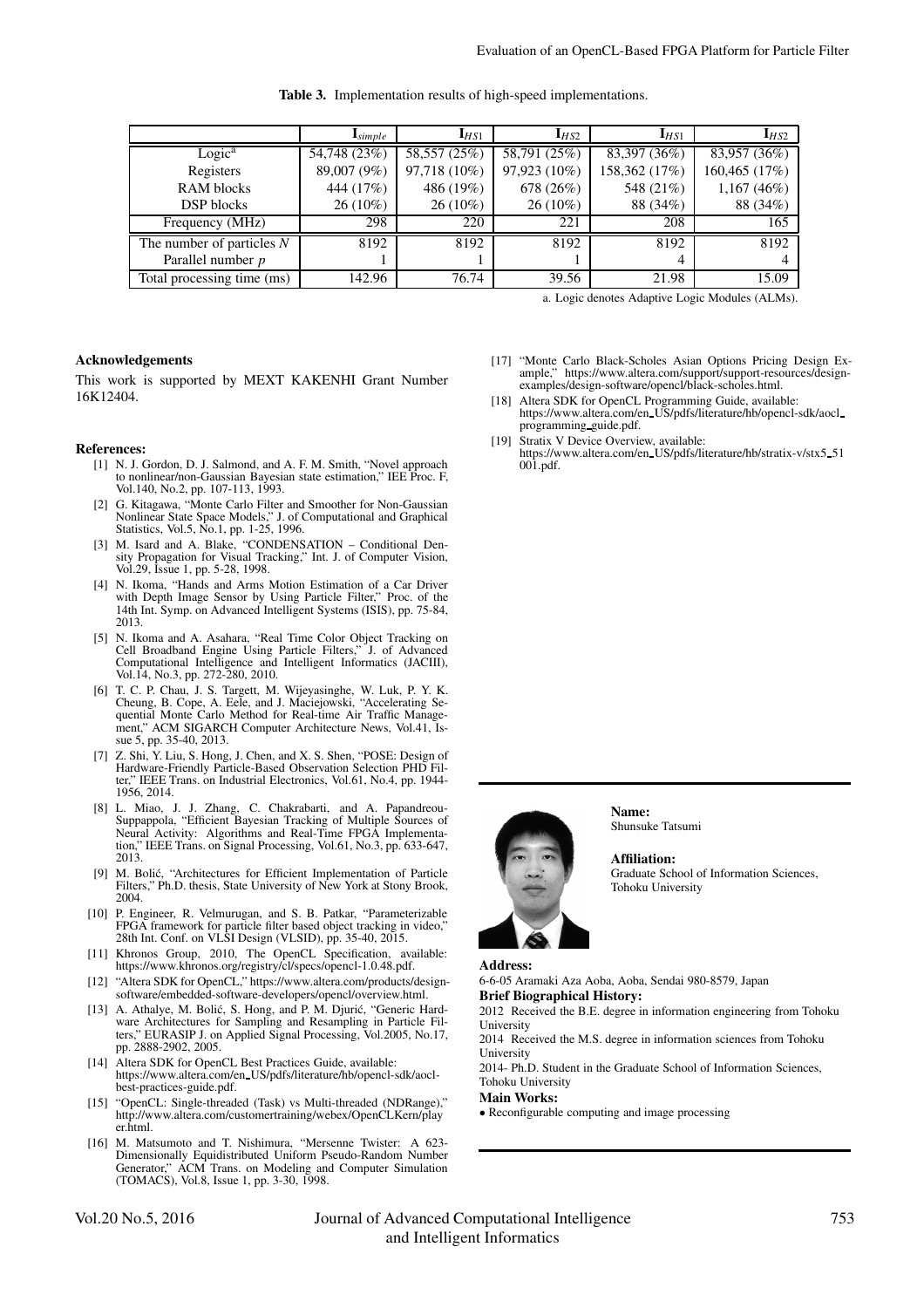Table 3. Implementation results of high-speed implementations.

|                             | $\mathbf{I}_{simple}$ | $I_{HS1}$    | $I_{HS2}$    | $I_{HS1}$     | $I_{HS2}$     |
|-----------------------------|-----------------------|--------------|--------------|---------------|---------------|
| Logic <sup>a</sup>          | 54,748 (23%)          | 58,557 (25%) | 58,791 (25%) | 83,397 (36%)  | 83,957 (36%)  |
| Registers                   | 89,007 (9%)           | 97,718 (10%) | 97,923 (10%) | 158,362 (17%) | 160,465 (17%) |
| RAM blocks                  | 444 (17%)             | 486 (19%)    | 678 (26%)    | 548 (21%)     | 1,167(46%)    |
| DSP blocks                  | $26(10\%)$            | $26(10\%)$   | $26(10\%)$   | 88 (34%)      | 88 (34%)      |
| Frequency (MHz)             | 298                   | 220          | 221          | 208           | 165           |
| The number of particles $N$ | 8192                  | 8192         | 8192         | 8192          | 8192          |
| Parallel number p           |                       |              |              | 4             |               |
| Total processing time (ms)  | 142.96                | 76.74        | 39.56        | 21.98         | 15.09         |

a. Logic denotes Adaptive Logic Modules (ALMs).

#### Acknowledgements

This work is supported by MEXT KAKENHI Grant Number 16K12404.

#### References:

- [1] N. J. Gordon, D. J. Salmond, and A. F. M. Smith, "Novel approach to nonlinear/non-Gaussian Bayesian state estimation," IEE Proc. F, Vol.140, No.2, pp. 107-113, 1993.
- [2] G. Kitagawa, "Monte Carlo Filter and Smoother for Non-Gaussian Nonlinear State Space Models," J. of Computational and Graphical Statistics, Vol.5, No.1, pp. 1-25, 1996.
- [3] M. Isard and A. Blake, "CONDENSATION Conditional Density Propagation for Visual Tracking," Int. J. of Computer Vision, Vol.29, Issue 1, pp. 5-28, 1998.
- [4] N. Ikoma, "Hands and Arms Motion Estimation of a Car Driver with Depth Image Sensor by Using Particle Filter," Proc. of the 14th Int. Symp. on Advanced Intelligent Systems (ISIS), pp. 75-84, 2013.
- [5] N. Ikoma and A. Asahara, "Real Time Color Object Tracking on Cell Broadband Engine Using Particle Filters," J. of Advanced Computational Intelligence and Intelligent Informatics (JACIII), Vol.14, No.3, pp. 272-280, 2010.
- [6] T. C. P. Chau, J. S. Targett, M. Wijeyasinghe, W. Luk, P. Y. K. Cheung, B. Cope, A. Eele, and J. Maciejowski, "Accelerating Sequential Monte Carlo Method for Real-time Air Traffic Management," ACM SIGARCH Computer Architecture News, Vol.41, Issue 5, pp. 35-40, 2013.
- [7] Z. Shi, Y. Liu, S. Hong, J. Chen, and X. S. Shen, "POSE: Design of Hardware-Friendly Particle-Based Observation Selection PHD Filter," IEEE Trans. on Industrial Electronics, Vol.61, No.4, pp. 1944- 1956, 2014.
- [8] L. Miao, J. J. Zhang, C. Chakrabarti, and A. Papandreou-Suppappola, "Efficient Bayesian Tracking of Multiple Sources of Neural Activity: Algorithms and Real-Time FPGA Implementation," IEEE Trans. on Signal Processing, Vol.61, No.3, pp. 633-647, 2013.
- [9] M. Bolić, "Architectures for Efficient Implementation of Particle Filters," Ph.D. thesis, State University of New York at Stony Brook, 2004.
- [10] P. Engineer, R. Velmurugan, and S. B. Patkar, "Parameterizable FPGA framework for particle filter based object tracking in video," 28th Int. Conf. on VLSI Design (VLSID), pp. 35-40, 2015.
- [11] Khronos Group, 2010, The OpenCL Specification, available: https://www.khronos.org/registry/cl/specs/opencl-1.0.48.pdf.
- [12] "Altera SDK for OpenCL," https://www.altera.com/products/designsoftware/embedded-software-developers/opencl/overview.html.
- [13] A. Athalye, M. Bolić, S. Hong, and P. M. Djurić, "Generic Hardware Architectures for Sampling and Resampling in Particle Filters," EURASIP J. on Applied Signal Processing, Vol.2005, No.17, pp. 2888-2902, 2005.
- [14] Altera SDK for OpenCL Best Practices Guide, available: https://www.altera.com/en US/pdfs/literature/hb/opencl-sdk/aoclbest-practices-guide.pdf.
- [15] "OpenCL: Single-threaded (Task) vs Multi-threaded (NDRange)," http://www.altera.com/customertraining/webex/OpenCLKern/play er.html.
- [16] M. Matsumoto and T. Nishimura, "Mersenne Twister: A 623- Dimensionally Equidistributed Uniform Pseudo-Random Number ACM Trans. on Modeling and Computer Simulation (TOMACS), Vol.8, Issue 1, pp. 3-30, 1998.
- [17] "Monte Carlo Black-Scholes Asian Options Pricing Design Ex-ample," https://www.altera.com/support/support-resources/designexamples/design-software/opencl/black-scholes.html.
- [18] Altera SDK for OpenCL Programming Guide, available: https://www.altera.com/en US/pdfs/literature/hb/opencl-sdk/aocl programming guide.pdf.
- [19] Stratix V Device Overview, available:
- https://www.altera.com/en US/pdfs/literature/hb/stratix-v/stx5 51 001.pdf.



Name: Shunsuke Tatsumi

Affiliation: Graduate School of Information Sciences, Tohoku University

#### Address:

6-6-05 Aramaki Aza Aoba, Aoba, Sendai 980-8579, Japan Brief Biographical History:

2012 Received the B.E. degree in information engineering from Tohoku University

2014 Received the M.S. degree in information sciences from Tohoku University

2014- Ph.D. Student in the Graduate School of Information Sciences, Tohoku University

Main Works:

• Reconfigurable computing and image processing